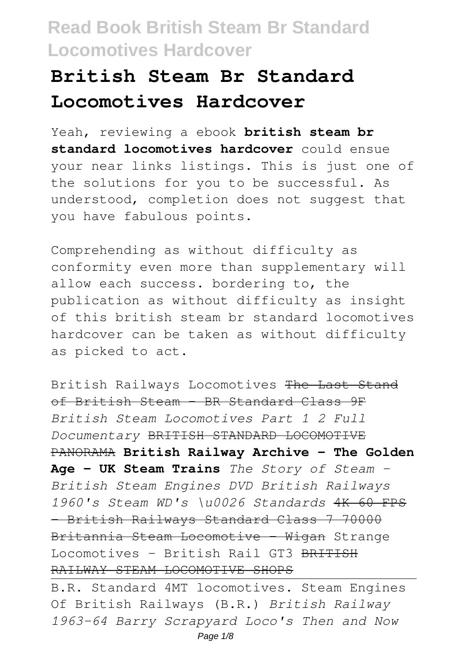# **British Steam Br Standard Locomotives Hardcover**

Yeah, reviewing a ebook **british steam br standard locomotives hardcover** could ensue your near links listings. This is just one of the solutions for you to be successful. As understood, completion does not suggest that you have fabulous points.

Comprehending as without difficulty as conformity even more than supplementary will allow each success. bordering to, the publication as without difficulty as insight of this british steam br standard locomotives hardcover can be taken as without difficulty as picked to act.

British Railways Locomotives The Last Stand of British Steam - BR Standard Class 9F *British Steam Locomotives Part 1 2 Full Documentary* BRITISH STANDARD LOCOMOTIVE PANORAMA **British Railway Archive - The Golden Age - UK Steam Trains** *The Story of Steam - British Steam Engines DVD British Railways 1960's Steam WD's \u0026 Standards* 4K 60 FPS - British Railways Standard Class 7 70000 Britannia Steam Locomotive - Wigan Strange Locomotives - British Rail GT3 BRITISH RAILWAY STEAM LOCOMOTIVE SHOPS

B.R. Standard 4MT locomotives. Steam Engines Of British Railways (B.R.) *British Railway 1963-64 Barry Scrapyard Loco's Then and Now* Page  $1/8$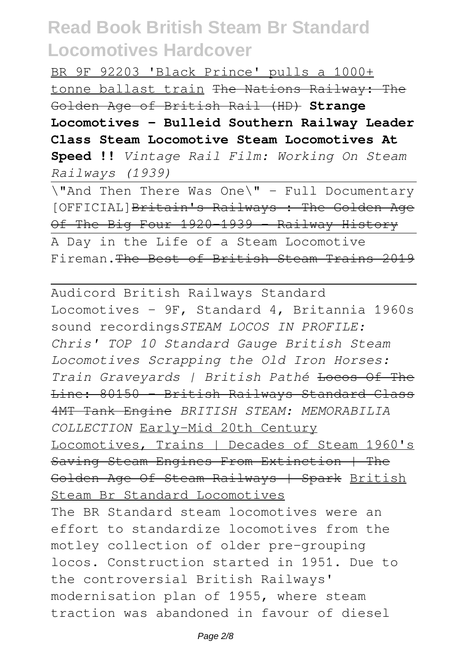BR 9F 92203 'Black Prince' pulls a 1000+ tonne ballast train The Nations Railway: The Golden Age of British Rail (HD) **Strange Locomotives - Bulleid Southern Railway Leader Class Steam Locomotive Steam Locomotives At Speed !!** *Vintage Rail Film: Working On Steam Railways (1939)*

\"And Then There Was One\" - Full Documentary [OFFICIAL]Britain's Railways : The Golden Age Of The Big Four 1920 1939 - Railway History A Day in the Life of a Steam Locomotive

Fireman.The Best of British Steam Trains 2019

Audicord British Railways Standard Locomotives - 9F, Standard 4, Britannia 1960s sound recordings*STEAM LOCOS IN PROFILE: Chris' TOP 10 Standard Gauge British Steam Locomotives Scrapping the Old Iron Horses: Train Graveyards | British Pathé* Locos Of The Line: 80150 - British Railways Standard Class 4MT Tank Engine *BRITISH STEAM: MEMORABILIA COLLECTION* Early-Mid 20th Century Locomotives, Trains | Decades of Steam 1960's Saving Steam Engines From Extinction | The Golden Age Of Steam Railways | Spark British Steam Br Standard Locomotives The BR Standard steam locomotives were an effort to standardize locomotives from the motley collection of older pre-grouping locos. Construction started in 1951. Due to the controversial British Railways' modernisation plan of 1955, where steam traction was abandoned in favour of diesel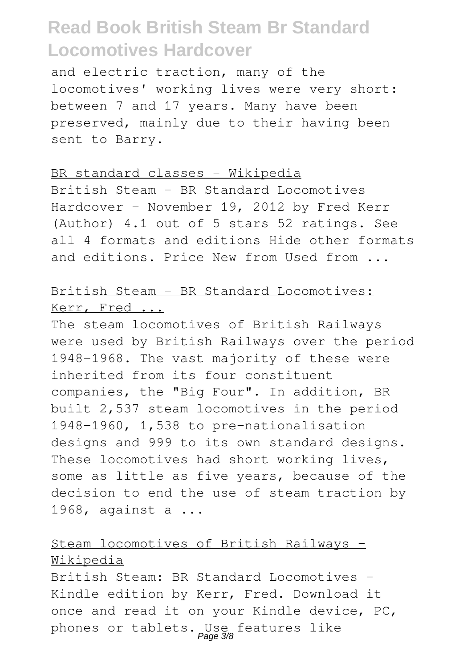and electric traction, many of the locomotives' working lives were very short: between 7 and 17 years. Many have been preserved, mainly due to their having been sent to Barry.

#### BR standard classes - Wikipedia

British Steam - BR Standard Locomotives Hardcover – November 19, 2012 by Fred Kerr (Author) 4.1 out of 5 stars 52 ratings. See all 4 formats and editions Hide other formats and editions. Price New from Used from ...

### British Steam - BR Standard Locomotives: Kerr, Fred ...

The steam locomotives of British Railways were used by British Railways over the period 1948–1968. The vast majority of these were inherited from its four constituent companies, the "Big Four". In addition, BR built 2,537 steam locomotives in the period 1948–1960, 1,538 to pre-nationalisation designs and 999 to its own standard designs. These locomotives had short working lives, some as little as five years, because of the decision to end the use of steam traction by 1968, against a ...

## Steam locomotives of British Railways - Wikipedia

British Steam: BR Standard Locomotives - Kindle edition by Kerr, Fred. Download it once and read it on your Kindle device, PC, phones or tablets. Use features like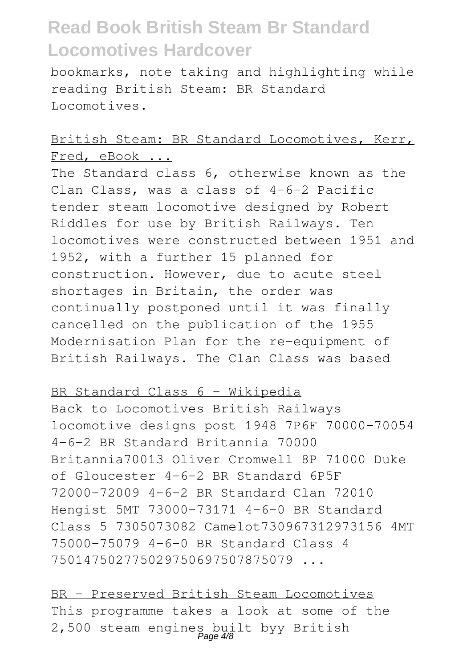bookmarks, note taking and highlighting while reading British Steam: BR Standard Locomotives.

### British Steam: BR Standard Locomotives, Kerr, Fred, eBook ...

The Standard class 6, otherwise known as the Clan Class, was a class of 4-6-2 Pacific tender steam locomotive designed by Robert Riddles for use by British Railways. Ten locomotives were constructed between 1951 and 1952, with a further 15 planned for construction. However, due to acute steel shortages in Britain, the order was continually postponed until it was finally cancelled on the publication of the 1955 Modernisation Plan for the re-equipment of British Railways. The Clan Class was based

### BR Standard Class 6 - Wikipedia

Back to Locomotives British Railways locomotive designs post 1948 7P6F 70000-70054 4-6-2 BR Standard Britannia 70000 Britannia70013 Oliver Cromwell 8P 71000 Duke of Gloucester 4-6-2 BR Standard 6P5F 72000-72009 4-6-2 BR Standard Clan 72010 Hengist 5MT 73000-73171 4-6-0 BR Standard Class 5 7305073082 Camelot730967312973156 4MT 75000-75079 4-6-0 BR Standard Class 4 750147502775029750697507875079 ...

BR – Preserved British Steam Locomotives This programme takes a look at some of the 2,500 steam engines built byy British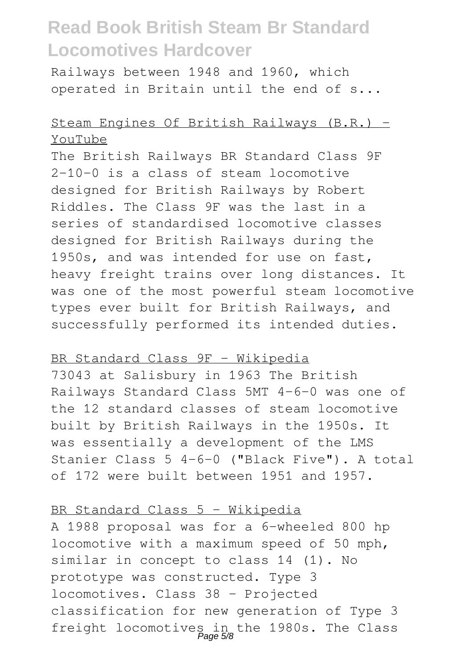Railways between 1948 and 1960, which operated in Britain until the end of s...

## Steam Engines Of British Railways (B.R.) - YouTube

The British Railways BR Standard Class 9F 2-10-0 is a class of steam locomotive designed for British Railways by Robert Riddles. The Class 9F was the last in a series of standardised locomotive classes designed for British Railways during the 1950s, and was intended for use on fast, heavy freight trains over long distances. It was one of the most powerful steam locomotive types ever built for British Railways, and successfully performed its intended duties.

#### BR Standard Class 9F - Wikipedia

73043 at Salisbury in 1963 The British Railways Standard Class 5MT 4-6-0 was one of the 12 standard classes of steam locomotive built by British Railways in the 1950s. It was essentially a development of the LMS Stanier Class 5 4-6-0 ("Black Five"). A total of 172 were built between 1951 and 1957.

#### BR Standard Class 5 - Wikipedia

A 1988 proposal was for a 6-wheeled 800 hp locomotive with a maximum speed of 50 mph, similar in concept to class 14 (1). No prototype was constructed. Type 3 locomotives. Class 38 - Projected classification for new generation of Type 3 freight locomotives in the 1980s. The Class Page 5/8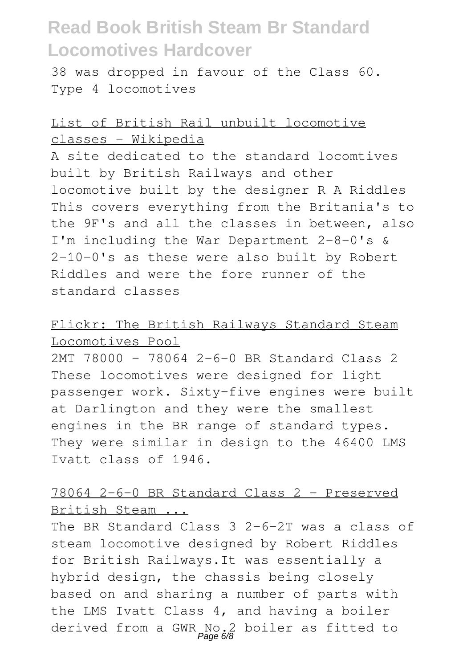38 was dropped in favour of the Class 60. Type 4 locomotives

## List of British Rail unbuilt locomotive classes - Wikipedia

A site dedicated to the standard locomtives built by British Railways and other locomotive built by the designer R A Riddles This covers everything from the Britania's to the 9F's and all the classes in between, also I'm including the War Department 2-8-0's & 2-10-0's as these were also built by Robert Riddles and were the fore runner of the standard classes

### Flickr: The British Railways Standard Steam Locomotives Pool

2MT 78000 – 78064 2-6-0 BR Standard Class 2 These locomotives were designed for light passenger work. Sixty-five engines were built at Darlington and they were the smallest engines in the BR range of standard types. They were similar in design to the 46400 LMS Ivatt class of 1946.

## 78064 2-6-0 BR Standard Class 2 - Preserved British Steam ...

The BR Standard Class 3 2-6-2T was a class of steam locomotive designed by Robert Riddles for British Railways.It was essentially a hybrid design, the chassis being closely based on and sharing a number of parts with the LMS Ivatt Class 4, and having a boiler derived from a GWR No.2 boiler as fitted to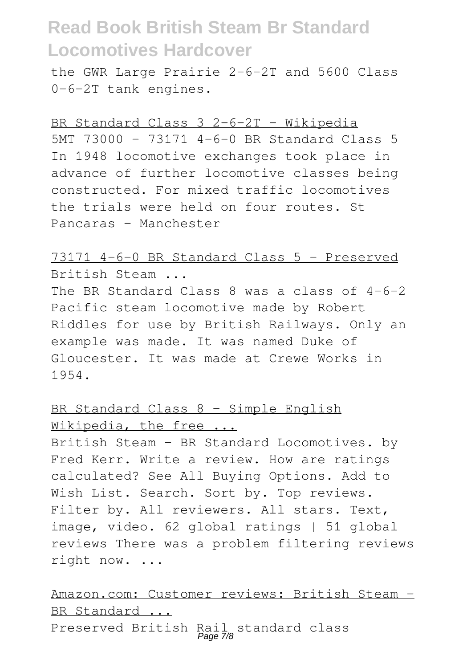the GWR Large Prairie 2-6-2T and 5600 Class 0-6-2T tank engines.

#### BR Standard Class 3 2-6-2T - Wikipedia

5MT 73000 – 73171 4-6-0 BR Standard Class 5 In 1948 locomotive exchanges took place in advance of further locomotive classes being constructed. For mixed traffic locomotives the trials were held on four routes. St Pancaras – Manchester

## 73171 4-6-0 BR Standard Class 5 - Preserved British Steam ...

The BR Standard Class 8 was a class of 4-6-2 Pacific steam locomotive made by Robert Riddles for use by British Railways. Only an example was made. It was named Duke of Gloucester. It was made at Crewe Works in 1954.

## BR Standard Class 8 - Simple English Wikipedia, the free ...

British Steam - BR Standard Locomotives. by Fred Kerr. Write a review. How are ratings calculated? See All Buying Options. Add to Wish List. Search. Sort by. Top reviews. Filter by. All reviewers. All stars. Text, image, video. 62 global ratings | 51 global reviews There was a problem filtering reviews right now. ...

Amazon.com: Customer reviews: British Steam - BR Standard ... Preserved British Rail standard class